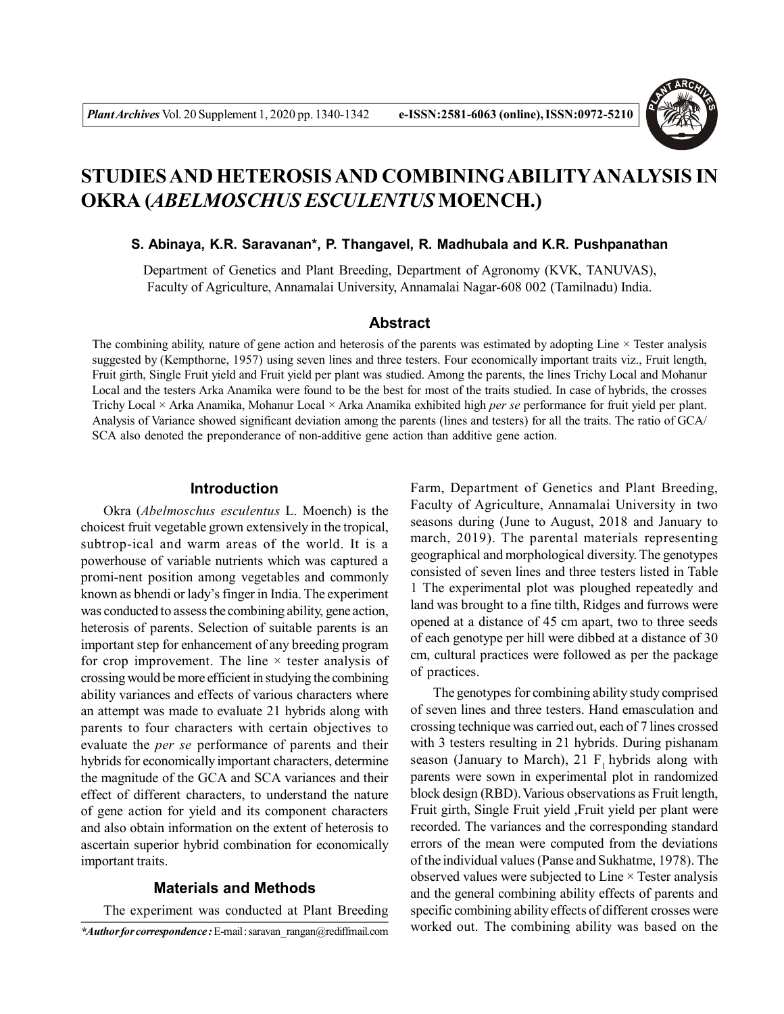

# **STUDIES AND HETEROSIS AND COMBININGABILITYANALYSIS IN OKRA (***ABELMOSCHUS ESCULENTUS* **MOENCH.)**

#### **S. Abinaya, K.R. Saravanan\*, P. Thangavel, R. Madhubala and K.R. Pushpanathan**

Department of Genetics and Plant Breeding, Department of Agronomy (KVK, TANUVAS), Faculty of Agriculture, Annamalai University, Annamalai Nagar-608 002 (Tamilnadu) India.

# **Abstract**

The combining ability, nature of gene action and heterosis of the parents was estimated by adopting Line  $\times$  Tester analysis suggested by (Kempthorne, 1957) using seven lines and three testers. Four economically important traits viz., Fruit length, Fruit girth, Single Fruit yield and Fruit yield per plant was studied. Among the parents, the lines Trichy Local and Mohanur Local and the testers Arka Anamika were found to be the best for most of the traits studied. In case of hybrids, the crosses Trichy Local × Arka Anamika, Mohanur Local × Arka Anamika exhibited high *per se* performance for fruit yield per plant. Analysis of Variance showed significant deviation among the parents (lines and testers) for all the traits. The ratio of GCA/ SCA also denoted the preponderance of non-additive gene action than additive gene action.

# **Introduction**

Okra (*Abelmoschus esculentus* L. Moench) is the choicest fruit vegetable grown extensively in the tropical, subtrop-ical and warm areas of the world. It is a powerhouse of variable nutrients which was captured a promi-nent position among vegetables and commonly known as bhendi or lady's finger in India. The experiment was conducted to assess the combining ability, gene action, heterosis of parents. Selection of suitable parents is an important step for enhancement of any breeding program for crop improvement. The line  $\times$  tester analysis of crossing would be more efficient in studying the combining ability variances and effects of various characters where an attempt was made to evaluate 21 hybrids along with parents to four characters with certain objectives to evaluate the *per se* performance of parents and their hybrids for economically important characters, determine the magnitude of the GCA and SCA variances and their effect of different characters, to understand the nature of gene action for yield and its component characters and also obtain information on the extent of heterosis to ascertain superior hybrid combination for economically important traits.

# **Materials and Methods**

The experiment was conducted at Plant Breeding

Farm, Department of Genetics and Plant Breeding, Faculty of Agriculture, Annamalai University in two seasons during (June to August, 2018 and January to march, 2019). The parental materials representing geographical and morphological diversity. The genotypes consisted of seven lines and three testers listed in Table 1 The experimental plot was ploughed repeatedly and land was brought to a fine tilth, Ridges and furrows were opened at a distance of 45 cm apart, two to three seeds of each genotype per hill were dibbed at a distance of 30 cm, cultural practices were followed as per the package of practices.

The genotypes for combining ability study comprised of seven lines and three testers. Hand emasculation and crossing technique was carried out, each of 7 lines crossed with 3 testers resulting in 21 hybrids. During pishanam season (January to March),  $21$  F, hybrids along with parents were sown in experimental plot in randomized block design (RBD). Various observations as Fruit length, Fruit girth, Single Fruit yield ,Fruit yield per plant were recorded. The variances and the corresponding standard errors of the mean were computed from the deviations of the individual values (Panse and Sukhatme, 1978). The observed values were subjected to Line  $\times$  Tester analysis and the general combining ability effects of parents and specific combining ability effects of different crosses were worked out. The combining ability was based on the

*<sup>\*</sup>Author for correspondence :* E-mail : saravan\_rangan@rediffmail.com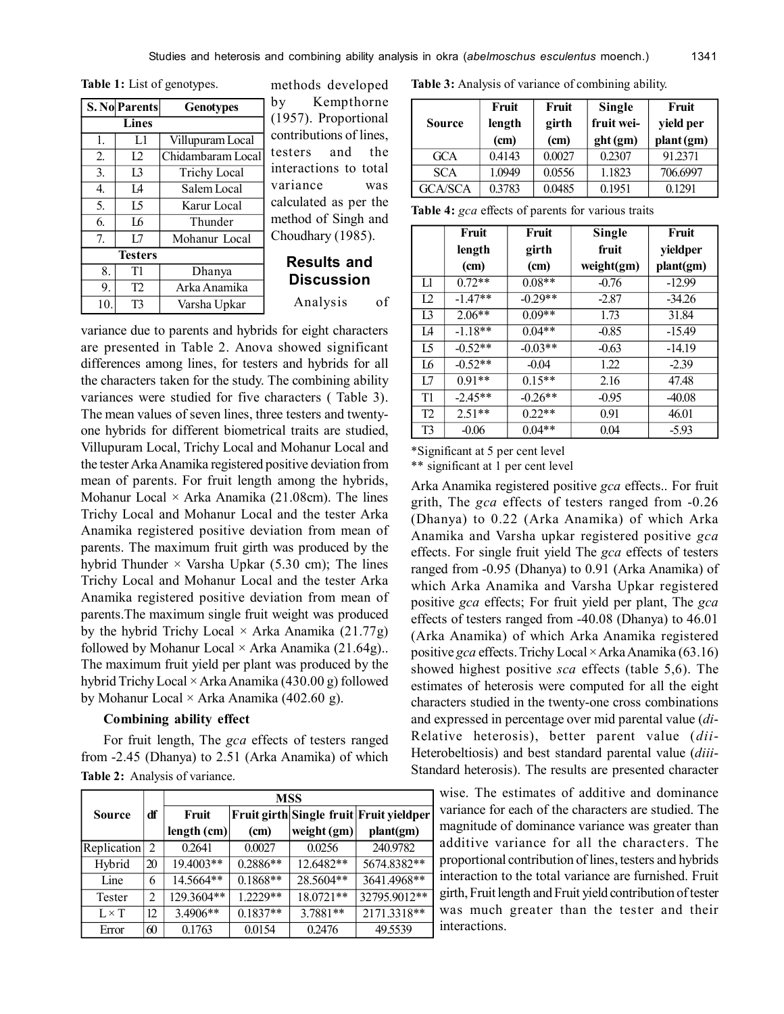**Table 1:** List of genotypes.

| S. No Parents    |                | <b>Genotypes</b>    |  |  |  |
|------------------|----------------|---------------------|--|--|--|
|                  | Lines          |                     |  |  |  |
| Î.               | L1             | Villupuram Local    |  |  |  |
| 2.               | 12             | Chidambaram Local   |  |  |  |
| 3.               | 13             | <b>Trichy Local</b> |  |  |  |
| $\overline{4}$ . | Ι4             | Salem Local         |  |  |  |
| 5.               | 15             | Karur Local         |  |  |  |
| 6.               | I6             | Thunder             |  |  |  |
| 7.               | L7             | Mohanur Local       |  |  |  |
|                  | <b>Testers</b> |                     |  |  |  |
| 8.               | T1             | Dhanya              |  |  |  |
| 9.               | T <sub>2</sub> | Arka Anamika        |  |  |  |
| 10.              | T3             | Varsha Upkar        |  |  |  |

methods developed by Kempthorne (1957). Proportional contributions of lines, testers and the interactions to total variance was calculated as per the method of Singh and Choudhary (1985).

# **Results and Discussion**

Analysis of

variance due to parents and hybrids for eight characters are presented in Table 2. Anova showed significant differences among lines, for testers and hybrids for all the characters taken for the study. The combining ability variances were studied for five characters ( Table 3). The mean values of seven lines, three testers and twentyone hybrids for different biometrical traits are studied, Villupuram Local, Trichy Local and Mohanur Local and the tester Arka Anamika registered positive deviation from mean of parents. For fruit length among the hybrids, Mohanur Local  $\times$  Arka Anamika (21.08cm). The lines Trichy Local and Mohanur Local and the tester Arka Anamika registered positive deviation from mean of parents. The maximum fruit girth was produced by the hybrid Thunder  $\times$  Varsha Upkar (5.30 cm); The lines Trichy Local and Mohanur Local and the tester Arka Anamika registered positive deviation from mean of parents.The maximum single fruit weight was produced by the hybrid Trichy Local  $\times$  Arka Anamika (21.77g) followed by Mohanur Local  $\times$  Arka Anamika (21.64g).. The maximum fruit yield per plant was produced by the hybrid Trichy Local × Arka Anamika (430.00 g) followed by Mohanur Local  $\times$  Arka Anamika (402.60 g).

#### **Combining ability effect**

For fruit length, The *gca* effects of testers ranged from -2.45 (Dhanya) to 2.51 (Arka Anamika) of which **Table 2:** Analysis of variance.

|              |    | <b>MSS</b>  |            |             |                                         |  |  |
|--------------|----|-------------|------------|-------------|-----------------------------------------|--|--|
| Source       | df | Fruit       |            |             | Fruit girth Single fruit Fruit yieldper |  |  |
|              |    | length (cm) | (cm)       | weight (gm) | plant(gm)                               |  |  |
| Replication  | 2  | 0.2641      | 0.0027     | 0.0256      | 240.9782                                |  |  |
| Hybrid       | 20 | 19.4003**   | 0.2886**   | 12.6482**   | 5674.8382**                             |  |  |
| Line         | 6  | 14.5664**   | $0.1868**$ | 28.5604**   | 3641.4968**                             |  |  |
| Tester       | 2  | 129.3604**  | $1.2229**$ | 18.0721**   | 32795.9012**                            |  |  |
| $L \times T$ | 12 | 3.4906**    | $0.1837**$ | 3.7881**    | 2171.3318**                             |  |  |
| Error        | 60 | 0.1763      | 0.0154     | 0.2476      | 49.5539                                 |  |  |

**Table 3:** Analysis of variance of combining ability.

| Source         | Fruit<br>length<br>(cm) | Fruit<br>girth<br>(cm) | Single<br>fruit wei-<br>ght(gm) | Fruit<br>yield per<br>plant (gm) |
|----------------|-------------------------|------------------------|---------------------------------|----------------------------------|
| GCA            | 0.4143                  | 0.0027                 | 0.2307                          | 91.2371                          |
| <b>SCA</b>     | 1.0949                  | 0.0556                 | 1.1823                          | 706.6997                         |
| <b>GCA/SCA</b> | 0.3783                  | 0.0485                 | 0.1951                          | 0 1 2 9 1                        |

| <b>Table 4:</b> gca effects of parents for various traits |  |  |  |  |  |  |  |
|-----------------------------------------------------------|--|--|--|--|--|--|--|
|-----------------------------------------------------------|--|--|--|--|--|--|--|

|                | Fruit     | Fruit     | <b>Single</b> | Fruit     |
|----------------|-----------|-----------|---------------|-----------|
|                | length    | girth     | fruit         | yieldper  |
|                | (cm)      | (cm)      | weight(gm)    | plant(gm) |
| L1             | $0.72**$  | $0.08**$  | $-0.76$       | $-12.99$  |
| 12             | $-1.47**$ | $-0.29**$ | $-2.87$       | $-34.26$  |
| 13             | $2.06**$  | $0.09**$  | 1.73          | 31.84     |
| I4             | $-1.18**$ | $0.04**$  | $-0.85$       | $-15.49$  |
| I <sub>5</sub> | $-0.52**$ | $-0.03**$ | $-0.63$       | $-14.19$  |
| L6             | $-0.52**$ | $-0.04$   | 1.22          | $-2.39$   |
| 17             | $0.91**$  | $0.15**$  | 2.16          | 47.48     |
| T1             | $-2.45**$ | $-0.26**$ | $-0.95$       | $-40.08$  |
| T2             | $2.51**$  | $0.22**$  | 0.91          | 46.01     |
| T <sub>3</sub> | $-0.06$   | $0.04**$  | 0.04          | $-5.93$   |

\*Significant at 5 per cent level

\*\* significant at 1 per cent level

Arka Anamika registered positive *gca* effects.. For fruit grith, The *gca* effects of testers ranged from -0.26 (Dhanya) to 0.22 (Arka Anamika) of which Arka Anamika and Varsha upkar registered positive *gca* effects. For single fruit yield The *gca* effects of testers ranged from -0.95 (Dhanya) to 0.91 (Arka Anamika) of which Arka Anamika and Varsha Upkar registered positive *gca* effects; For fruit yield per plant, The *gca* effects of testers ranged from -40.08 (Dhanya) to 46.01 (Arka Anamika) of which Arka Anamika registered positive *gca* effects. Trichy Local × Arka Anamika (63.16) showed highest positive *sca* effects (table 5,6). The estimates of heterosis were computed for all the eight characters studied in the twenty-one cross combinations and expressed in percentage over mid parental value (*di*-Relative heterosis), better parent value (*dii*-Heterobeltiosis) and best standard parental value (*diii*-Standard heterosis). The results are presented character

wise. The estimates of additive and dominance variance for each of the characters are studied. The magnitude of dominance variance was greater than additive variance for all the characters. The proportional contribution of lines, testers and hybrids interaction to the total variance are furnished. Fruit girth, Fruit length and Fruit yield contribution of tester was much greater than the tester and their interactions.